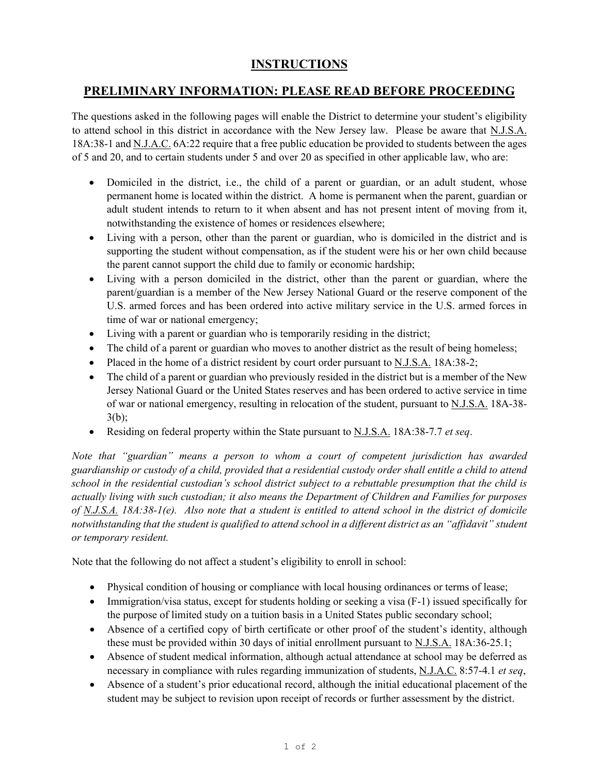## **INSTRUCTIONS**

## **PRELIMINARY INFORMATION: PLEASE READ BEFORE PROCEEDING**

The questions asked in the following pages will enable the District to determine your student's eligibility to attend school in this district in accordance with the New Jersey law. Please be aware that N.J.S.A. 18A:38-1 and N.J.A.C. 6A:22 require that a free public education be provided to students between the ages of 5 and 20, and to certain students under 5 and over 20 as specified in other applicable law, who are:

- Domiciled in the district, i.e., the child of a parent or guardian, or an adult student, whose permanent home is located within the district. A home is permanent when the parent, guardian or adult student intends to return to it when absent and has not present intent of moving from it, notwithstanding the existence of homes or residences elsewhere;
- Living with a person, other than the parent or guardian, who is domiciled in the district and is supporting the student without compensation, as if the student were his or her own child because the parent cannot support the child due to family or economic hardship;
- Living with a person domiciled in the district, other than the parent or guardian, where the parent/guardian is a member of the New Jersey National Guard or the reserve component of the U.S. armed forces and has been ordered into active military service in the U.S. armed forces in time of war or national emergency;
- Living with a parent or guardian who is temporarily residing in the district;
- The child of a parent or guardian who moves to another district as the result of being homeless;
- Placed in the home of a district resident by court order pursuant to N.J.S.A. 18A:38-2;
- The child of a parent or guardian who previously resided in the district but is a member of the New Jersey National Guard or the United States reserves and has been ordered to active service in time of war or national emergency, resulting in relocation of the student, pursuant to N.J.S.A. 18A-38- 3(b);
- Residing on federal property within the State pursuant to N.J.S.A. 18A:38-7.7 *et seq*.

*Note that "guardian" means a person to whom a court of competent jurisdiction has awarded guardianship or custody of a child, provided that a residential custody order shall entitle a child to attend school in the residential custodian's school district subject to a rebuttable presumption that the child is actually living with such custodian; it also means the Department of Children and Families for purposes of N.J.S.A. 18A:38-1(e). Also note that a student is entitled to attend school in the district of domicile notwithstanding that the student is qualified to attend school in a different district as an "affidavit" student or temporary resident.*

Note that the following do not affect a student's eligibility to enroll in school:

- Physical condition of housing or compliance with local housing ordinances or terms of lease;
- Immigration/visa status, except for students holding or seeking a visa (F-1) issued specifically for the purpose of limited study on a tuition basis in a United States public secondary school;
- Absence of a certified copy of birth certificate or other proof of the student's identity, although these must be provided within 30 days of initial enrollment pursuant to N.J.S.A. 18A:36-25.1;
- Absence of student medical information, although actual attendance at school may be deferred as necessary in compliance with rules regarding immunization of students, N.J.A.C. 8:57-4.1 *et seq*,
- Absence of a student's prior educational record, although the initial educational placement of the student may be subject to revision upon receipt of records or further assessment by the district.